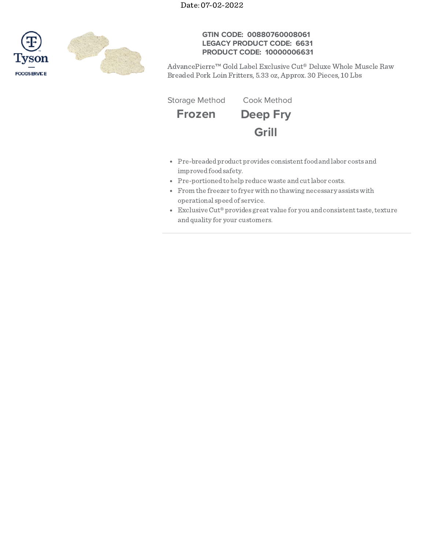

## **GTIN CODE: 00880760008061 LEGACY PRODUCT CODE: 6631 PRODUCT CODE: 10000006631**

AdvancePierre™ Gold Label Exclusive Cut® Deluxe Whole Muscle Raw Breaded Pork Loin Fritters, 5.33 oz, Approx. 30 Pieces, 10 Lbs

**Frozen Deep Fry Grill** Storage Method Cook Method

- Pre-breadedproduct provides consistentfoodandlabor costs and improvedfoodsafety.
- Pre-portioned to help reduce waste and cut labor costs.
- From the freezer to fryer with no thawing necessary assistswith operational speedof service.
- Exclusive Cut® provides great value for you and consistent taste, texture andquality for your customers.